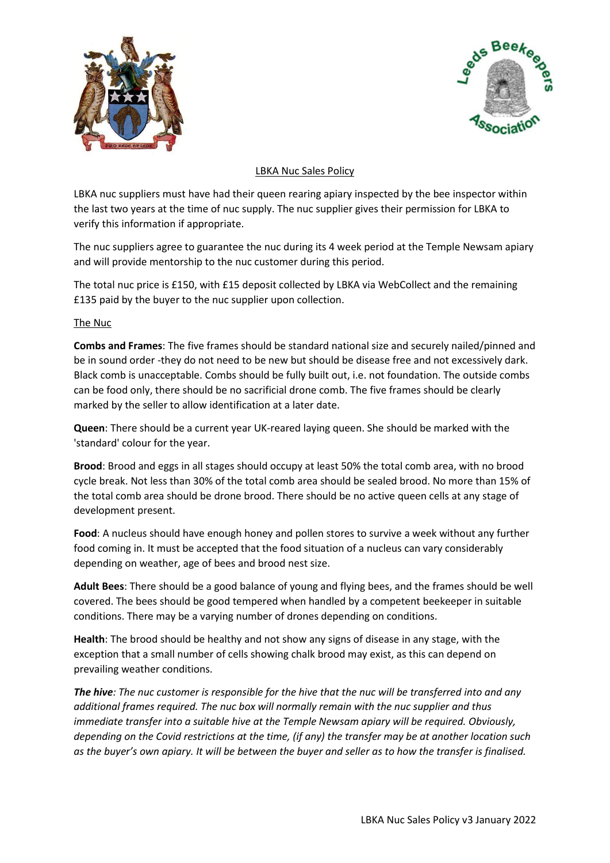



## LBKA Nuc Sales Policy

LBKA nuc suppliers must have had their queen rearing apiary inspected by the bee inspector within the last two years at the time of nuc supply. The nuc supplier gives their permission for LBKA to verify this information if appropriate.

The nuc suppliers agree to guarantee the nuc during its 4 week period at the Temple Newsam apiary and will provide mentorship to the nuc customer during this period.

The total nuc price is £150, with £15 deposit collected by LBKA via WebCollect and the remaining £135 paid by the buyer to the nuc supplier upon collection.

## The Nuc

**Combs and Frames**: The five frames should be standard national size and securely nailed/pinned and be in sound order -they do not need to be new but should be disease free and not excessively dark. Black comb is unacceptable. Combs should be fully built out, i.e. not foundation. The outside combs can be food only, there should be no sacrificial drone comb. The five frames should be clearly marked by the seller to allow identification at a later date.

**Queen**: There should be a current year UK-reared laying queen. She should be marked with the 'standard' colour for the year.

**Brood**: Brood and eggs in all stages should occupy at least 50% the total comb area, with no brood cycle break. Not less than 30% of the total comb area should be sealed brood. No more than 15% of the total comb area should be drone brood. There should be no active queen cells at any stage of development present.

**Food**: A nucleus should have enough honey and pollen stores to survive a week without any further food coming in. It must be accepted that the food situation of a nucleus can vary considerably depending on weather, age of bees and brood nest size.

**Adult Bees**: There should be a good balance of young and flying bees, and the frames should be well covered. The bees should be good tempered when handled by a competent beekeeper in suitable conditions. There may be a varying number of drones depending on conditions.

**Health**: The brood should be healthy and not show any signs of disease in any stage, with the exception that a small number of cells showing chalk brood may exist, as this can depend on prevailing weather conditions.

The hive: The nuc customer is responsible for the hive that the nuc will be transferred into and any *additional frames required. The nuc box will normally remain with the nuc supplier and thus immediate transfer into a suitable hive at the Temple Newsam apiary will be required. Obviously, depending on the Covid restrictions at the time, (if any) the transfer may be at another location such as the buyer's own apiary. It will be between the buyer and seller as to how the transfer is finalised.*